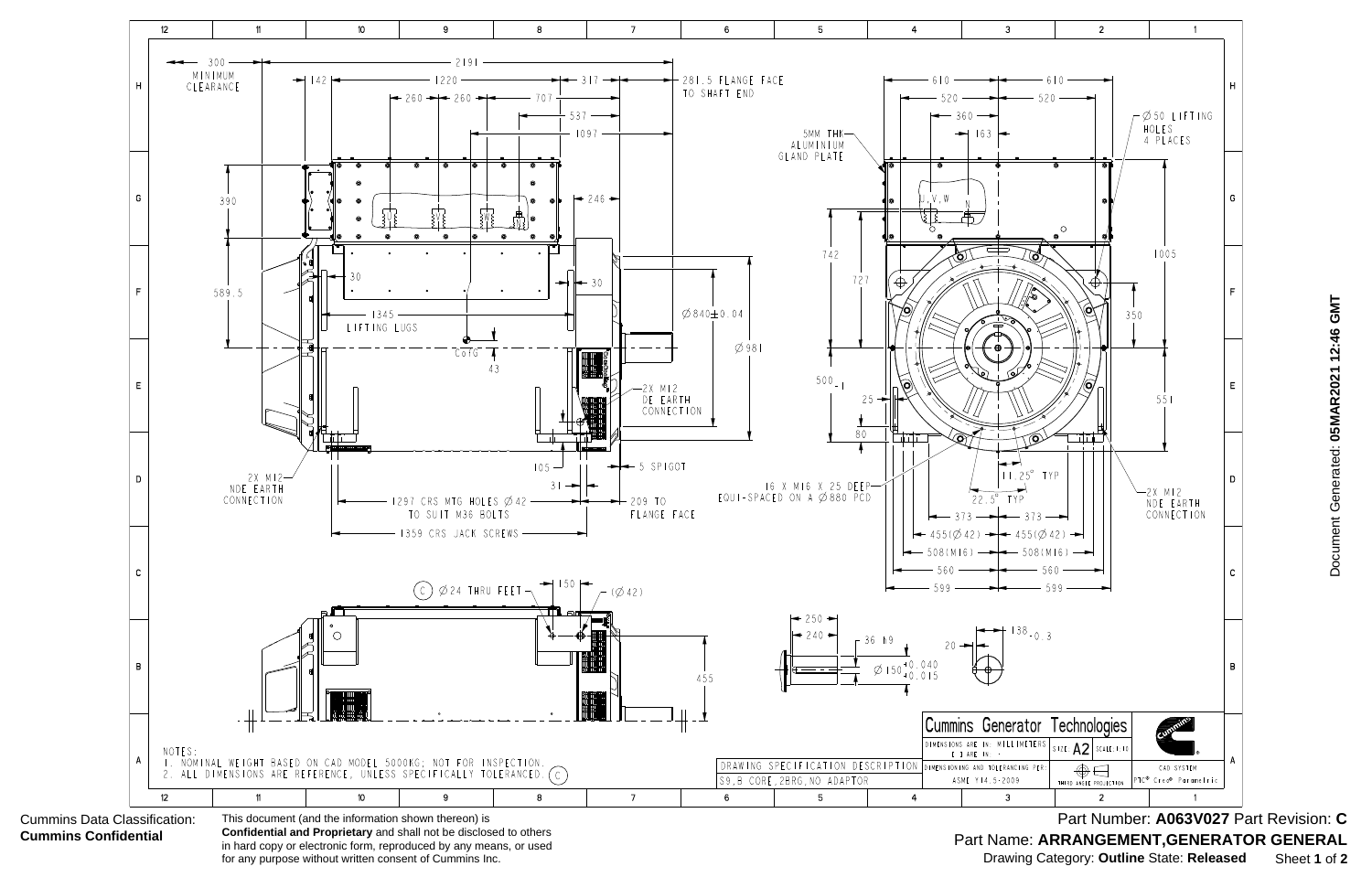

 Document Generated: **05MAR2021 12:46 GMT** Document Generated: 05MAR2021 12:46 GMT

Part Name: ARRANGEMENT, GENERATOR GENERAL Part Number: **A063V027** Part Revision: **C** Drawing Category: **Outline** State: **Released** Sheet **1** of **2**

in hard copy or electronic form, reproduced by any means, or used for any purpose without written consent of Cummins Inc.